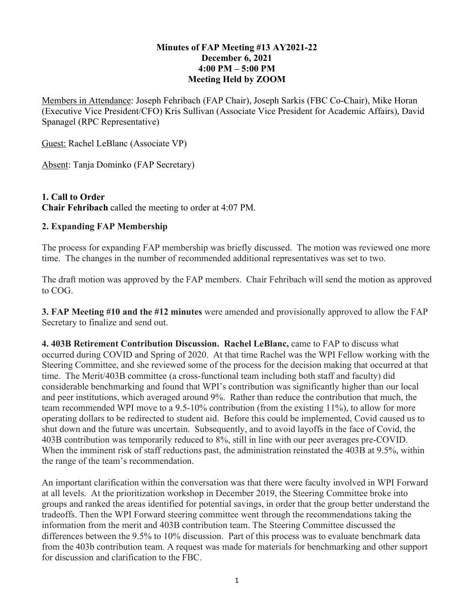## **Minutes of FAP Meeting #13 AY2021-22 December 6, 2021 4:00 PM – 5:00 PM Meeting Held by ZOOM**

Members in Attendance: Joseph Fehribach (FAP Chair), Joseph Sarkis (FBC Co-Chair), Mike Horan (Executive Vice President/CFO) Kris Sullivan (Associate Vice President for Academic Affairs), David Spanagel (RPC Representative)

Guest: Rachel LeBlanc (Associate VP)

Absent: Tanja Dominko (FAP Secretary)

## **1. Call to Order Chair Fehribach** called the meeting to order at 4:07 PM.

## **2. Expanding FAP Membership**

The process for expanding FAP membership was briefly discussed. The motion was reviewed one more time. The changes in the number of recommended additional representatives was set to two.

The draft motion was approved by the FAP members. Chair Fehribach will send the motion as approved to COG.

**3. FAP Meeting #10 and the #12 minutes** were amended and provisionally approved to allow the FAP Secretary to finalize and send out.

**4. 403B Retirement Contribution Discussion. Rachel LeBlanc,** came to FAP to discuss what occurred during COVID and Spring of 2020. At that time Rachel was the WPI Fellow working with the Steering Committee, and she reviewed some of the process for the decision making that occurred at that time. The Merit/403B committee (a cross-functional team including both staff and faculty) did considerable benchmarking and found that WPI's contribution was significantly higher than our local and peer institutions, which averaged around 9%. Rather than reduce the contribution that much, the team recommended WPI move to a 9.5-10% contribution (from the existing 11%), to allow for more operating dollars to be redirected to student aid. Before this could be implemented, Covid caused us to shut down and the future was uncertain. Subsequently, and to avoid layoffs in the face of Covid, the 403B contribution was temporarily reduced to 8%, still in line with our peer averages pre-COVID. When the imminent risk of staff reductions past, the administration reinstated the 403B at 9.5%, within the range of the team's recommendation.

An important clarification within the conversation was that there were faculty involved in WPI Forward at all levels. At the prioritization workshop in December 2019, the Steering Committee broke into groups and ranked the areas identified for potential savings, in order that the group better understand the tradeoffs. Then the WPI Forward steering committee went through the recommendations taking the information from the merit and 403B contribution team. The Steering Committee discussed the differences between the 9.5% to 10% discussion. Part of this process was to evaluate benchmark data from the 403b contribution team. A request was made for materials for benchmarking and other support for discussion and clarification to the FBC.